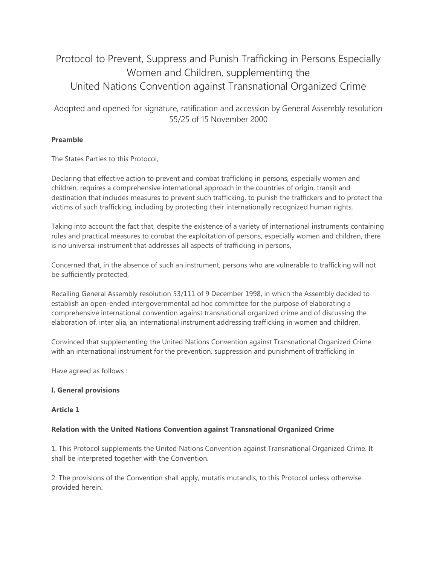# Protocol to Prevent, Suppress and Punish Trafficking in Persons Especially Women and Children, supplementing the United Nations Convention against Transnational Organized Crime

Adopted and opened for signature, ratification and accession by General Assembly resolution 55/25 of 15 November 2000

# **Preamble**

The States Parties to this Protocol,

Declaring that effective action to prevent and combat trafficking in persons, especially women and children, requires a comprehensive international approach in the countries of origin, transit and destination that includes measures to prevent such trafficking, to punish the traffickers and to protect the victims of such trafficking, including by protecting their internationally recognized human rights,

Taking into account the fact that, despite the existence of a variety of international instruments containing rules and practical measures to combat the exploitation of persons, especially women and children, there is no universal instrument that addresses all aspects of trafficking in persons,

Concerned that, in the absence of such an instrument, persons who are vulnerable to trafficking will not be sufficiently protected,

Recalling General Assembly resolution 53/111 of 9 December 1998, in which the Assembly decided to establish an open-ended intergovernmental ad hoc committee for the purpose of elaborating a comprehensive international convention against transnational organized crime and of discussing the elaboration of, inter alia, an international instrument addressing trafficking in women and children,

Convinced that supplementing the United Nations Convention against Transnational Organized Crime with an international instrument for the prevention, suppression and punishment of trafficking in

Have agreed as follows :

## **I. General provisions**

## **Article 1**

## **Relation with the United Nations Convention against Transnational Organized Crime**

1. This Protocol supplements the United Nations Convention against Transnational Organized Crime. It shall be interpreted together with the Convention.

2. The provisions of the Convention shall apply, mutatis mutandis, to this Protocol unless otherwise provided herein.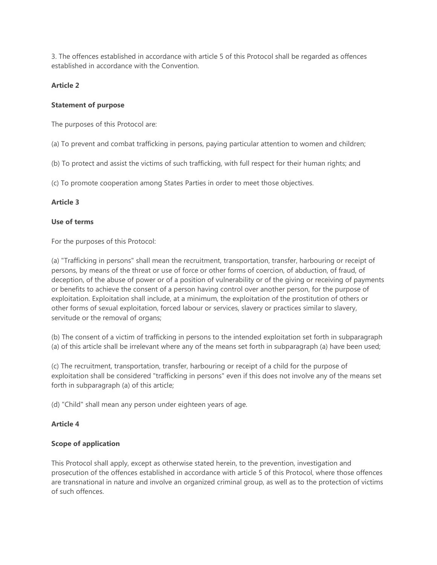3. The offences established in accordance with article 5 of this Protocol shall be regarded as offences established in accordance with the Convention.

## **Article 2**

## **Statement of purpose**

The purposes of this Protocol are:

(a) To prevent and combat trafficking in persons, paying particular attention to women and children;

(b) To protect and assist the victims of such trafficking, with full respect for their human rights; and

(c) To promote cooperation among States Parties in order to meet those objectives.

#### **Article 3**

## **Use of terms**

For the purposes of this Protocol:

(a) "Trafficking in persons" shall mean the recruitment, transportation, transfer, harbouring or receipt of persons, by means of the threat or use of force or other forms of coercion, of abduction, of fraud, of deception, of the abuse of power or of a position of vulnerability or of the giving or receiving of payments or benefits to achieve the consent of a person having control over another person, for the purpose of exploitation. Exploitation shall include, at a minimum, the exploitation of the prostitution of others or other forms of sexual exploitation, forced labour or services, slavery or practices similar to slavery, servitude or the removal of organs;

(b) The consent of a victim of trafficking in persons to the intended exploitation set forth in subparagraph (a) of this article shall be irrelevant where any of the means set forth in subparagraph (a) have been used;

(c) The recruitment, transportation, transfer, harbouring or receipt of a child for the purpose of exploitation shall be considered "trafficking in persons" even if this does not involve any of the means set forth in subparagraph (a) of this article;

(d) "Child" shall mean any person under eighteen years of age.

## **Article 4**

## **Scope of application**

This Protocol shall apply, except as otherwise stated herein, to the prevention, investigation and prosecution of the offences established in accordance with article 5 of this Protocol, where those offences are transnational in nature and involve an organized criminal group, as well as to the protection of victims of such offences.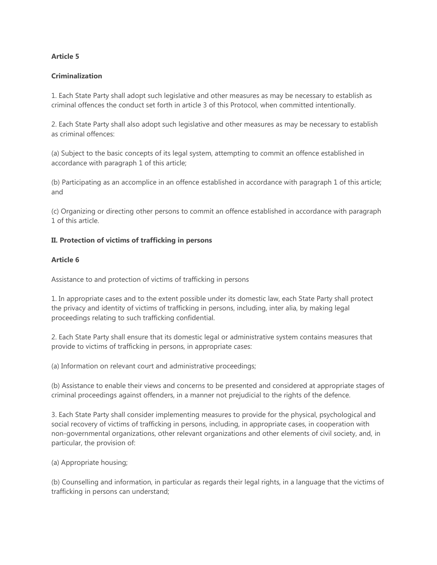## **Article 5**

# **Criminalization**

1. Each State Party shall adopt such legislative and other measures as may be necessary to establish as criminal offences the conduct set forth in article 3 of this Protocol, when committed intentionally.

2. Each State Party shall also adopt such legislative and other measures as may be necessary to establish as criminal offences:

(a) Subject to the basic concepts of its legal system, attempting to commit an offence established in accordance with paragraph 1 of this article;

(b) Participating as an accomplice in an offence established in accordance with paragraph 1 of this article; and

(c) Organizing or directing other persons to commit an offence established in accordance with paragraph 1 of this article.

## **II. Protection of victims of trafficking in persons**

## **Article 6**

Assistance to and protection of victims of trafficking in persons

1. In appropriate cases and to the extent possible under its domestic law, each State Party shall protect the privacy and identity of victims of trafficking in persons, including, inter alia, by making legal proceedings relating to such trafficking confidential.

2. Each State Party shall ensure that its domestic legal or administrative system contains measures that provide to victims of trafficking in persons, in appropriate cases:

(a) Information on relevant court and administrative proceedings;

(b) Assistance to enable their views and concerns to be presented and considered at appropriate stages of criminal proceedings against offenders, in a manner not prejudicial to the rights of the defence.

3. Each State Party shall consider implementing measures to provide for the physical, psychological and social recovery of victims of trafficking in persons, including, in appropriate cases, in cooperation with non-governmental organizations, other relevant organizations and other elements of civil society, and, in particular, the provision of:

(a) Appropriate housing;

(b) Counselling and information, in particular as regards their legal rights, in a language that the victims of trafficking in persons can understand;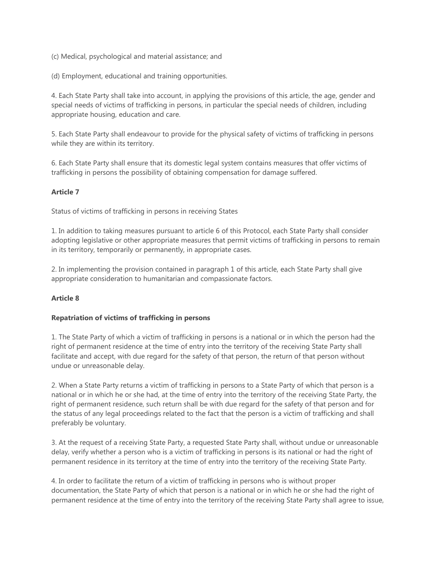(c) Medical, psychological and material assistance; and

(d) Employment, educational and training opportunities.

4. Each State Party shall take into account, in applying the provisions of this article, the age, gender and special needs of victims of trafficking in persons, in particular the special needs of children, including appropriate housing, education and care.

5. Each State Party shall endeavour to provide for the physical safety of victims of trafficking in persons while they are within its territory.

6. Each State Party shall ensure that its domestic legal system contains measures that offer victims of trafficking in persons the possibility of obtaining compensation for damage suffered.

# **Article 7**

Status of victims of trafficking in persons in receiving States

1. In addition to taking measures pursuant to article 6 of this Protocol, each State Party shall consider adopting legislative or other appropriate measures that permit victims of trafficking in persons to remain in its territory, temporarily or permanently, in appropriate cases.

2. In implementing the provision contained in paragraph 1 of this article, each State Party shall give appropriate consideration to humanitarian and compassionate factors.

# **Article 8**

## **Repatriation of victims of trafficking in persons**

1. The State Party of which a victim of trafficking in persons is a national or in which the person had the right of permanent residence at the time of entry into the territory of the receiving State Party shall facilitate and accept, with due regard for the safety of that person, the return of that person without undue or unreasonable delay.

2. When a State Party returns a victim of trafficking in persons to a State Party of which that person is a national or in which he or she had, at the time of entry into the territory of the receiving State Party, the right of permanent residence, such return shall be with due regard for the safety of that person and for the status of any legal proceedings related to the fact that the person is a victim of trafficking and shall preferably be voluntary.

3. At the request of a receiving State Party, a requested State Party shall, without undue or unreasonable delay, verify whether a person who is a victim of trafficking in persons is its national or had the right of permanent residence in its territory at the time of entry into the territory of the receiving State Party.

4. In order to facilitate the return of a victim of trafficking in persons who is without proper documentation, the State Party of which that person is a national or in which he or she had the right of permanent residence at the time of entry into the territory of the receiving State Party shall agree to issue,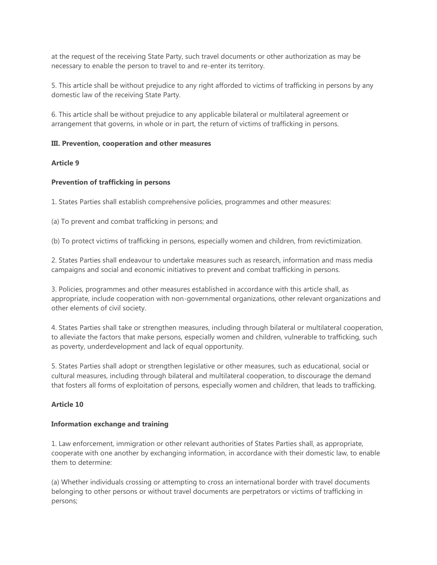at the request of the receiving State Party, such travel documents or other authorization as may be necessary to enable the person to travel to and re-enter its territory.

5. This article shall be without prejudice to any right afforded to victims of trafficking in persons by any domestic law of the receiving State Party.

6. This article shall be without prejudice to any applicable bilateral or multilateral agreement or arrangement that governs, in whole or in part, the return of victims of trafficking in persons.

## **III. Prevention, cooperation and other measures**

## **Article 9**

## **Prevention of trafficking in persons**

1. States Parties shall establish comprehensive policies, programmes and other measures:

(a) To prevent and combat trafficking in persons; and

(b) To protect victims of trafficking in persons, especially women and children, from revictimization.

2. States Parties shall endeavour to undertake measures such as research, information and mass media campaigns and social and economic initiatives to prevent and combat trafficking in persons.

3. Policies, programmes and other measures established in accordance with this article shall, as appropriate, include cooperation with non-governmental organizations, other relevant organizations and other elements of civil society.

4. States Parties shall take or strengthen measures, including through bilateral or multilateral cooperation, to alleviate the factors that make persons, especially women and children, vulnerable to trafficking, such as poverty, underdevelopment and lack of equal opportunity.

5. States Parties shall adopt or strengthen legislative or other measures, such as educational, social or cultural measures, including through bilateral and multilateral cooperation, to discourage the demand that fosters all forms of exploitation of persons, especially women and children, that leads to trafficking.

## **Article 10**

#### **Information exchange and training**

1. Law enforcement, immigration or other relevant authorities of States Parties shall, as appropriate, cooperate with one another by exchanging information, in accordance with their domestic law, to enable them to determine:

(a) Whether individuals crossing or attempting to cross an international border with travel documents belonging to other persons or without travel documents are perpetrators or victims of trafficking in persons;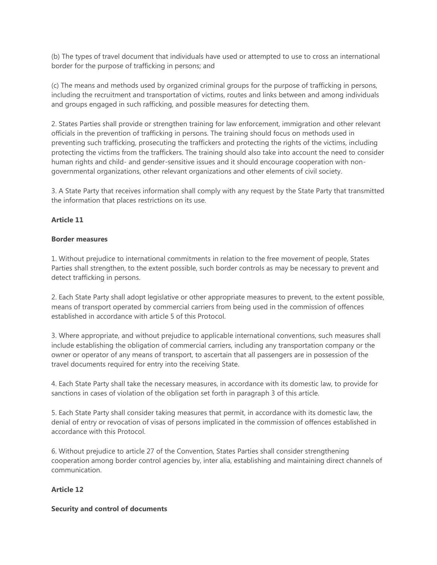(b) The types of travel document that individuals have used or attempted to use to cross an international border for the purpose of trafficking in persons; and

(c) The means and methods used by organized criminal groups for the purpose of trafficking in persons, including the recruitment and transportation of victims, routes and links between and among individuals and groups engaged in such rafficking, and possible measures for detecting them.

2. States Parties shall provide or strengthen training for law enforcement, immigration and other relevant officials in the prevention of trafficking in persons. The training should focus on methods used in preventing such trafficking, prosecuting the traffickers and protecting the rights of the victims, including protecting the victims from the traffickers. The training should also take into account the need to consider human rights and child- and gender-sensitive issues and it should encourage cooperation with nongovernmental organizations, other relevant organizations and other elements of civil society.

3. A State Party that receives information shall comply with any request by the State Party that transmitted the information that places restrictions on its use.

# **Article 11**

#### **Border measures**

1. Without prejudice to international commitments in relation to the free movement of people, States Parties shall strengthen, to the extent possible, such border controls as may be necessary to prevent and detect trafficking in persons.

2. Each State Party shall adopt legislative or other appropriate measures to prevent, to the extent possible, means of transport operated by commercial carriers from being used in the commission of offences established in accordance with article 5 of this Protocol.

3. Where appropriate, and without prejudice to applicable international conventions, such measures shall include establishing the obligation of commercial carriers, including any transportation company or the owner or operator of any means of transport, to ascertain that all passengers are in possession of the travel documents required for entry into the receiving State.

4. Each State Party shall take the necessary measures, in accordance with its domestic law, to provide for sanctions in cases of violation of the obligation set forth in paragraph 3 of this article.

5. Each State Party shall consider taking measures that permit, in accordance with its domestic law, the denial of entry or revocation of visas of persons implicated in the commission of offences established in accordance with this Protocol.

6. Without prejudice to article 27 of the Convention, States Parties shall consider strengthening cooperation among border control agencies by, inter alia, establishing and maintaining direct channels of communication.

## **Article 12**

#### **Security and control of documents**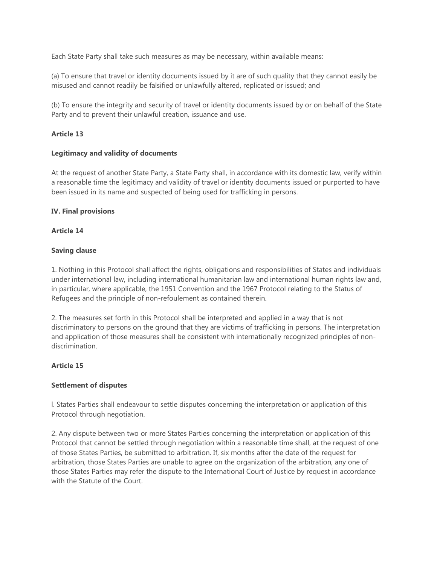Each State Party shall take such measures as may be necessary, within available means:

(a) To ensure that travel or identity documents issued by it are of such quality that they cannot easily be misused and cannot readily be falsified or unlawfully altered, replicated or issued; and

(b) To ensure the integrity and security of travel or identity documents issued by or on behalf of the State Party and to prevent their unlawful creation, issuance and use.

## **Article 13**

#### **Legitimacy and validity of documents**

At the request of another State Party, a State Party shall, in accordance with its domestic law, verify within a reasonable time the legitimacy and validity of travel or identity documents issued or purported to have been issued in its name and suspected of being used for trafficking in persons.

#### **IV. Final provisions**

#### **Article 14**

#### **Saving clause**

1. Nothing in this Protocol shall affect the rights, obligations and responsibilities of States and individuals under international law, including international humanitarian law and international human rights law and, in particular, where applicable, the 1951 Convention and the 1967 Protocol relating to the Status of Refugees and the principle of non-refoulement as contained therein.

2. The measures set forth in this Protocol shall be interpreted and applied in a way that is not discriminatory to persons on the ground that they are victims of trafficking in persons. The interpretation and application of those measures shall be consistent with internationally recognized principles of nondiscrimination.

## **Article 15**

#### **Settlement of disputes**

l. States Parties shall endeavour to settle disputes concerning the interpretation or application of this Protocol through negotiation.

2. Any dispute between two or more States Parties concerning the interpretation or application of this Protocol that cannot be settled through negotiation within a reasonable time shall, at the request of one of those States Parties, be submitted to arbitration. If, six months after the date of the request for arbitration, those States Parties are unable to agree on the organization of the arbitration, any one of those States Parties may refer the dispute to the International Court of Justice by request in accordance with the Statute of the Court.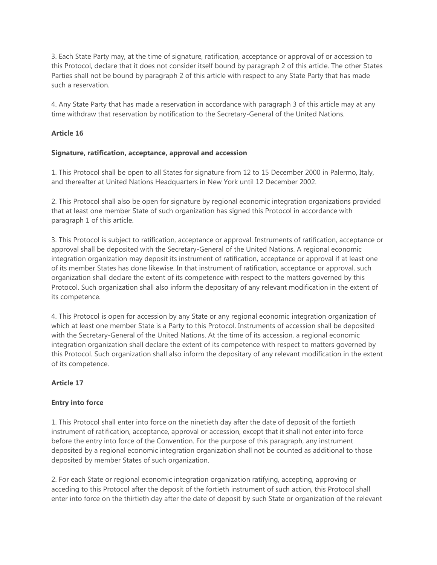3. Each State Party may, at the time of signature, ratification, acceptance or approval of or accession to this Protocol, declare that it does not consider itself bound by paragraph 2 of this article. The other States Parties shall not be bound by paragraph 2 of this article with respect to any State Party that has made such a reservation.

4. Any State Party that has made a reservation in accordance with paragraph 3 of this article may at any time withdraw that reservation by notification to the Secretary-General of the United Nations.

# **Article 16**

# **Signature, ratification, acceptance, approval and accession**

1. This Protocol shall be open to all States for signature from 12 to 15 December 2000 in Palermo, Italy, and thereafter at United Nations Headquarters in New York until 12 December 2002.

2. This Protocol shall also be open for signature by regional economic integration organizations provided that at least one member State of such organization has signed this Protocol in accordance with paragraph 1 of this article.

3. This Protocol is subject to ratification, acceptance or approval. Instruments of ratification, acceptance or approval shall be deposited with the Secretary-General of the United Nations. A regional economic integration organization may deposit its instrument of ratification, acceptance or approval if at least one of its member States has done likewise. In that instrument of ratification, acceptance or approval, such organization shall declare the extent of its competence with respect to the matters governed by this Protocol. Such organization shall also inform the depositary of any relevant modification in the extent of its competence.

4. This Protocol is open for accession by any State or any regional economic integration organization of which at least one member State is a Party to this Protocol. Instruments of accession shall be deposited with the Secretary-General of the United Nations. At the time of its accession, a regional economic integration organization shall declare the extent of its competence with respect to matters governed by this Protocol. Such organization shall also inform the depositary of any relevant modification in the extent of its competence.

# **Article 17**

# **Entry into force**

1. This Protocol shall enter into force on the ninetieth day after the date of deposit of the fortieth instrument of ratification, acceptance, approval or accession, except that it shall not enter into force before the entry into force of the Convention. For the purpose of this paragraph, any instrument deposited by a regional economic integration organization shall not be counted as additional to those deposited by member States of such organization.

2. For each State or regional economic integration organization ratifying, accepting, approving or acceding to this Protocol after the deposit of the fortieth instrument of such action, this Protocol shall enter into force on the thirtieth day after the date of deposit by such State or organization of the relevant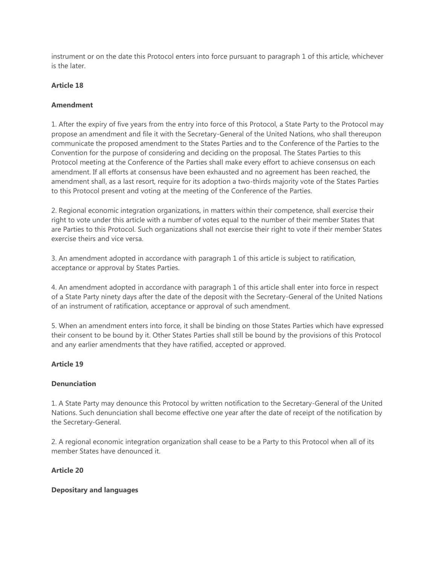instrument or on the date this Protocol enters into force pursuant to paragraph 1 of this article, whichever is the later.

## **Article 18**

## **Amendment**

1. After the expiry of five years from the entry into force of this Protocol, a State Party to the Protocol may propose an amendment and file it with the Secretary-General of the United Nations, who shall thereupon communicate the proposed amendment to the States Parties and to the Conference of the Parties to the Convention for the purpose of considering and deciding on the proposal. The States Parties to this Protocol meeting at the Conference of the Parties shall make every effort to achieve consensus on each amendment. If all efforts at consensus have been exhausted and no agreement has been reached, the amendment shall, as a last resort, require for its adoption a two-thirds majority vote of the States Parties to this Protocol present and voting at the meeting of the Conference of the Parties.

2. Regional economic integration organizations, in matters within their competence, shall exercise their right to vote under this article with a number of votes equal to the number of their member States that are Parties to this Protocol. Such organizations shall not exercise their right to vote if their member States exercise theirs and vice versa.

3. An amendment adopted in accordance with paragraph 1 of this article is subject to ratification, acceptance or approval by States Parties.

4. An amendment adopted in accordance with paragraph 1 of this article shall enter into force in respect of a State Party ninety days after the date of the deposit with the Secretary-General of the United Nations of an instrument of ratification, acceptance or approval of such amendment.

5. When an amendment enters into force, it shall be binding on those States Parties which have expressed their consent to be bound by it. Other States Parties shall still be bound by the provisions of this Protocol and any earlier amendments that they have ratified, accepted or approved.

## **Article 19**

## **Denunciation**

1. A State Party may denounce this Protocol by written notification to the Secretary-General of the United Nations. Such denunciation shall become effective one year after the date of receipt of the notification by the Secretary-General.

2. A regional economic integration organization shall cease to be a Party to this Protocol when all of its member States have denounced it.

# **Article 20**

## **Depositary and languages**